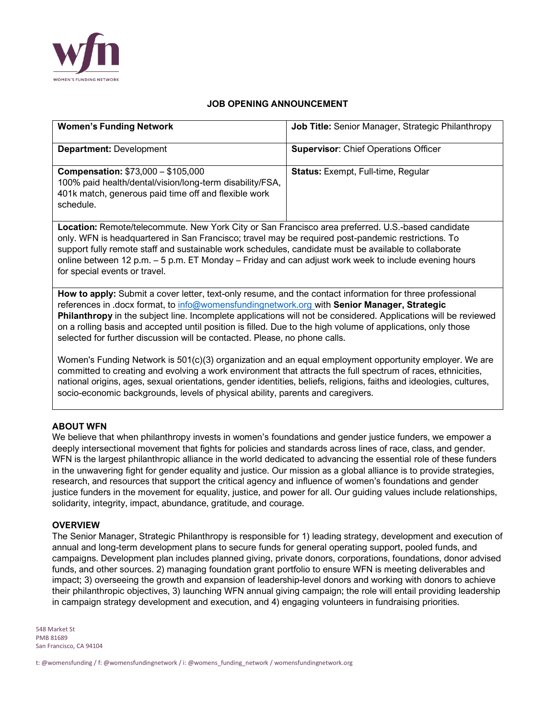

# **JOB OPENING ANNOUNCEMENT**

| <b>Women's Funding Network</b>                                                                                                                                                                                                                                                                                                                                                                                                                                                                                            | Job Title: Senior Manager, Strategic Philanthropy |
|---------------------------------------------------------------------------------------------------------------------------------------------------------------------------------------------------------------------------------------------------------------------------------------------------------------------------------------------------------------------------------------------------------------------------------------------------------------------------------------------------------------------------|---------------------------------------------------|
| <b>Department: Development</b>                                                                                                                                                                                                                                                                                                                                                                                                                                                                                            | <b>Supervisor: Chief Operations Officer</b>       |
| <b>Compensation: \$73,000 - \$105,000</b><br>100% paid health/dental/vision/long-term disability/FSA,<br>401k match, generous paid time off and flexible work<br>schedule.                                                                                                                                                                                                                                                                                                                                                | Status: Exempt, Full-time, Regular                |
| Location: Remote/telecommute. New York City or San Francisco area preferred. U.S.-based candidate<br>only. WFN is headquartered in San Francisco; travel may be required post-pandemic restrictions. To<br>support fully remote staff and sustainable work schedules, candidate must be available to collaborate<br>online between 12 p.m. - 5 p.m. ET Monday - Friday and can adjust work week to include evening hours<br>for special events or travel.                                                                 |                                                   |
| How to apply: Submit a cover letter, text-only resume, and the contact information for three professional<br>references in .docx format, to info@womensfundingnetwork.org with Senior Manager, Strategic<br>Philanthropy in the subject line. Incomplete applications will not be considered. Applications will be reviewed<br>on a rolling basis and accepted until position is filled. Due to the high volume of applications, only those<br>selected for further discussion will be contacted. Please, no phone calls. |                                                   |
| Women's Funding Network is 501(c)(3) organization and an equal employment opportunity employer. We are<br>committed to creating and evolving a work environment that attracts the full spectrum of races, ethnicities,<br>national origins, ages, sexual orientations, gender identities, beliefs, religions, faiths and ideologies, cultures,<br>socio-economic backgrounds, levels of physical ability, parents and caregivers.                                                                                         |                                                   |

# **ABOUT WFN**

We believe that when philanthropy invests in women's foundations and gender justice funders, we empower a deeply intersectional movement that fights for policies and standards across lines of race, class, and gender. WFN is the largest philanthropic alliance in the world dedicated to advancing the essential role of these funders in the unwavering fight for gender equality and justice. Our mission as a global alliance is to provide strategies, research, and resources that support the critical agency and influence of women's foundations and gender justice funders in the movement for equality, justice, and power for all. Our guiding values include relationships, solidarity, integrity, impact, abundance, gratitude, and courage.

# **OVERVIEW**

The Senior Manager, Strategic Philanthropy is responsible for 1) leading strategy, development and execution of annual and long-term development plans to secure funds for general operating support, pooled funds, and campaigns. Development plan includes planned giving, private donors, corporations, foundations, donor advised funds, and other sources. 2) managing foundation grant portfolio to ensure WFN is meeting deliverables and impact; 3) overseeing the growth and expansion of leadership-level donors and working with donors to achieve their philanthropic objectives, 3) launching WFN annual giving campaign; the role will entail providing leadership in campaign strategy development and execution, and 4) engaging volunteers in fundraising priorities.

548 Market St PMB 81689 San Francisco, CA 94104

t: @womensfunding / f: @womensfundingnetwork / i: @womens\_funding\_network / womensfundingnetwork.org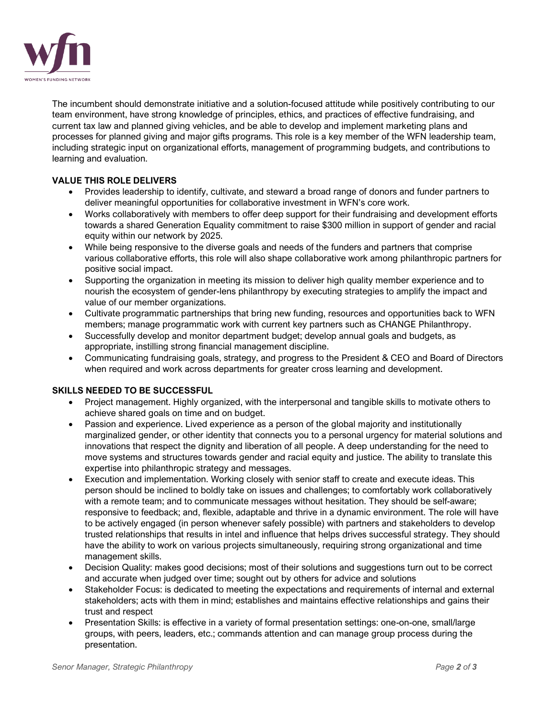

The incumbent should demonstrate initiative and a solution-focused attitude while positively contributing to our team environment, have strong knowledge of principles, ethics, and practices of effective fundraising, and current tax law and planned giving vehicles, and be able to develop and implement marketing plans and processes for planned giving and major gifts programs. This role is a key member of the WFN leadership team, including strategic input on organizational efforts, management of programming budgets, and contributions to learning and evaluation.

# **VALUE THIS ROLE DELIVERS**

- Provides leadership to identify, cultivate, and steward a broad range of donors and funder partners to deliver meaningful opportunities for collaborative investment in WFN's core work.
- Works collaboratively with members to offer deep support for their fundraising and development efforts towards a shared Generation Equality commitment to raise \$300 million in support of gender and racial equity within our network by 2025.
- While being responsive to the diverse goals and needs of the funders and partners that comprise various collaborative efforts, this role will also shape collaborative work among philanthropic partners for positive social impact.
- Supporting the organization in meeting its mission to deliver high quality member experience and to nourish the ecosystem of gender-lens philanthropy by executing strategies to amplify the impact and value of our member organizations.
- Cultivate programmatic partnerships that bring new funding, resources and opportunities back to WFN members; manage programmatic work with current key partners such as CHANGE Philanthropy.
- Successfully develop and monitor department budget; develop annual goals and budgets, as appropriate, instilling strong financial management discipline.
- Communicating fundraising goals, strategy, and progress to the President & CEO and Board of Directors when required and work across departments for greater cross learning and development.

# **SKILLS NEEDED TO BE SUCCESSFUL**

- Project management. Highly organized, with the interpersonal and tangible skills to motivate others to achieve shared goals on time and on budget.
- Passion and experience. Lived experience as a person of the global majority and institutionally marginalized gender, or other identity that connects you to a personal urgency for material solutions and innovations that respect the dignity and liberation of all people. A deep understanding for the need to move systems and structures towards gender and racial equity and justice. The ability to translate this expertise into philanthropic strategy and messages.
- Execution and implementation. Working closely with senior staff to create and execute ideas. This person should be inclined to boldly take on issues and challenges; to comfortably work collaboratively with a remote team; and to communicate messages without hesitation. They should be self-aware; responsive to feedback; and, flexible, adaptable and thrive in a dynamic environment. The role will have to be actively engaged (in person whenever safely possible) with partners and stakeholders to develop trusted relationships that results in intel and influence that helps drives successful strategy. They should have the ability to work on various projects simultaneously, requiring strong organizational and time management skills.
- Decision Quality: makes good decisions; most of their solutions and suggestions turn out to be correct and accurate when judged over time; sought out by others for advice and solutions
- Stakeholder Focus: is dedicated to meeting the expectations and requirements of internal and external stakeholders; acts with them in mind; establishes and maintains effective relationships and gains their trust and respect
- Presentation Skills: is effective in a variety of formal presentation settings: one-on-one, small/large groups, with peers, leaders, etc.; commands attention and can manage group process during the presentation.